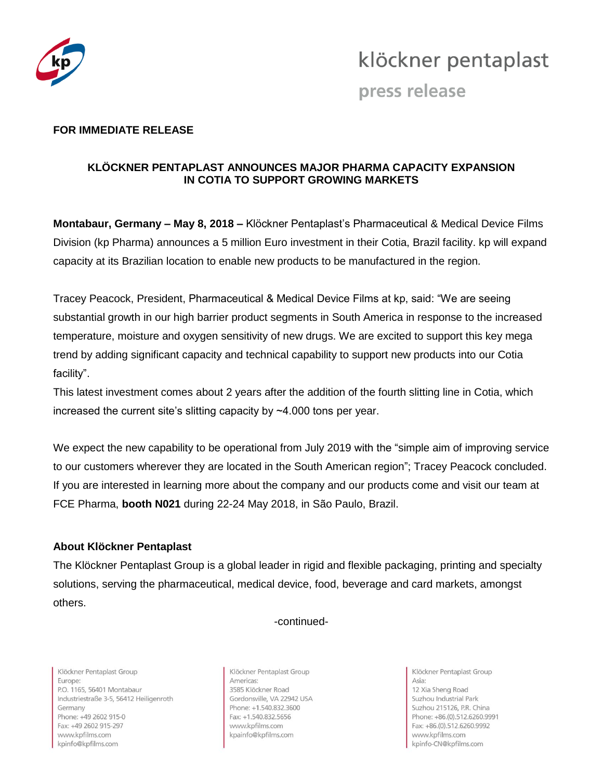

## klöckner pentaplast

press release

#### **FOR IMMEDIATE RELEASE**

#### **KLÖCKNER PENTAPLAST ANNOUNCES MAJOR PHARMA CAPACITY EXPANSION IN COTIA TO SUPPORT GROWING MARKETS**

**Montabaur, Germany – May 8, 2018 –** Klöckner Pentaplast's Pharmaceutical & Medical Device Films Division (kp Pharma) announces a 5 million Euro investment in their Cotia, Brazil facility. kp will expand capacity at its Brazilian location to enable new products to be manufactured in the region.

Tracey Peacock, President, Pharmaceutical & Medical Device Films at kp, said: "We are seeing substantial growth in our high barrier product segments in South America in response to the increased temperature, moisture and oxygen sensitivity of new drugs. We are excited to support this key mega trend by adding significant capacity and technical capability to support new products into our Cotia facility".

This latest investment comes about 2 years after the addition of the fourth slitting line in Cotia, which increased the current site's slitting capacity by ~4.000 tons per year.

We expect the new capability to be operational from July 2019 with the "simple aim of improving service to our customers wherever they are located in the South American region"; Tracey Peacock concluded. If you are interested in learning more about the company and our products come and visit our team at FCE Pharma, **booth N021** during 22-24 May 2018, in São Paulo, Brazil.

#### **About Klöckner Pentaplast**

The Klöckner Pentaplast Group is a global leader in rigid and flexible packaging, printing and specialty solutions, serving the pharmaceutical, medical device, food, beverage and card markets, amongst others.

#### -continued-

Klöckner Pentaplast Group Europe: P.O. 1165, 56401 Montabaur Industriestraße 3-5, 56412 Heiligenroth Germany Phone: +49 2602 915-0 Fax: +49 2602 915-297 www.kpfilms.com kpinfo@kpfilms.com

Klöckner Pentaplast Group Americas: 3585 Klöckner Road Gordonsville, VA 22942 USA Phone: +1.540.832.3600 Fax: +1.540.832.5656 www.kpfilms.com kpainfo@kpfilms.com

Klöckner Pentaplast Group Asia: 12 Xia Sheng Road Suzhou Industrial Park Suzhou 215126, P.R. China Phone: +86.(0).512.6260.9991 Fax: +86.(0).512.6260.9992 www.kpfilms.com kpinfo-CN@kpfilms.com